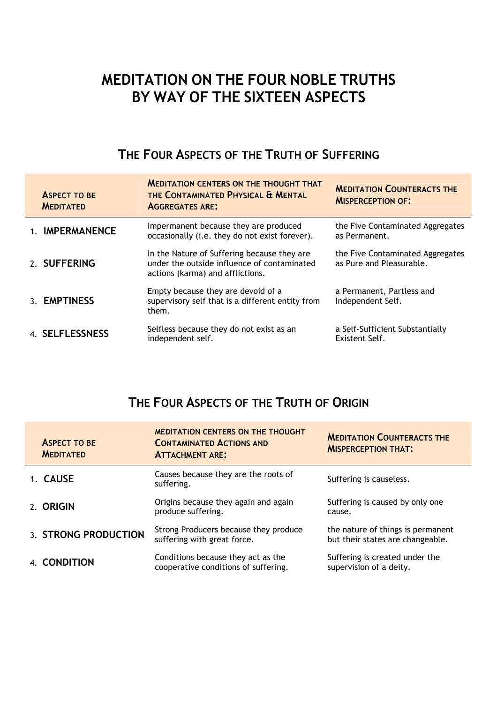## **MEDITATION ON THE FOUR NOBLE TRUTHS BY WAY OF THE SIXTEEN ASPECTS**

### **THE FOUR ASPECTS OF THE TRUTH OF SUFFERING**

| <b>ASPECT TO BE</b><br><b>MEDITATED</b> | <b>MEDITATION CENTERS ON THE THOUGHT THAT</b><br>THE CONTAMINATED PHYSICAL & MENTAL<br><b>AGGREGATES ARE:</b>                  | <b>MEDITATION COUNTERACTS THE</b><br><b>MISPERCEPTION OF:</b> |
|-----------------------------------------|--------------------------------------------------------------------------------------------------------------------------------|---------------------------------------------------------------|
| 1. IMPERMANENCE                         | Impermanent because they are produced<br>occasionally (i.e. they do not exist forever).                                        | the Five Contaminated Aggregates<br>as Permanent.             |
| 2. SUFFERING                            | In the Nature of Suffering because they are<br>under the outside influence of contaminated<br>actions (karma) and afflictions. | the Five Contaminated Aggregates<br>as Pure and Pleasurable.  |
| 3. EMPTINESS                            | Empty because they are devoid of a<br>supervisory self that is a different entity from<br>them.                                | a Permanent, Partless and<br>Independent Self.                |
| 4. SELFLESSNESS                         | Selfless because they do not exist as an<br>independent self.                                                                  | a Self-Sufficient Substantially<br>Existent Self.             |

#### **THE FOUR ASPECTS OF THE TRUTH OF ORIGIN**

|           | <b>ASPECT TO BE</b><br><b>MEDITATED</b> | <b>MEDITATION CENTERS ON THE THOUGHT</b><br><b>CONTAMINATED ACTIONS AND</b><br><b>ATTACHMENT ARE:</b> | <b>MEDITATION COUNTERACTS THE</b><br><b>MISPERCEPTION THAT:</b>       |
|-----------|-----------------------------------------|-------------------------------------------------------------------------------------------------------|-----------------------------------------------------------------------|
| 1. CAUSE  |                                         | Causes because they are the roots of<br>suffering.                                                    | Suffering is causeless.                                               |
| 2. ORIGIN |                                         | Origins because they again and again<br>produce suffering.                                            | Suffering is caused by only one<br>cause.                             |
|           | 3. STRONG PRODUCTION                    | Strong Producers because they produce<br>suffering with great force.                                  | the nature of things is permanent<br>but their states are changeable. |
|           | 4. CONDITION                            | Conditions because they act as the<br>cooperative conditions of suffering.                            | Suffering is created under the<br>supervision of a deity.             |